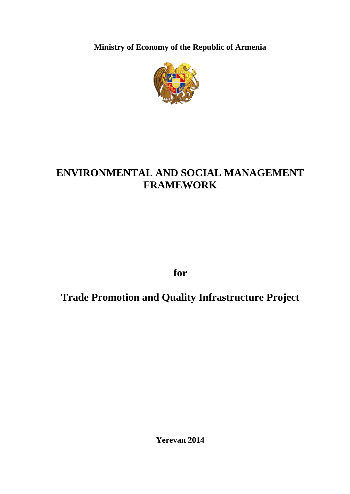**Ministry of Economy of the Republic of Armenia**



# **ENVIRONMENTAL AND SOCIAL MANAGEMENT FRAMEWORK**

**for** 

**Trade Promotion and Quality Infrastructure Project**

**Yerevan 2014**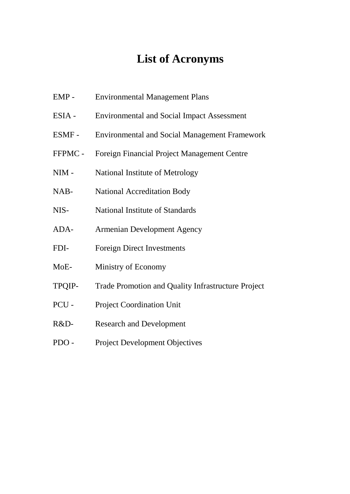# **List of Acronyms**

- EMP Environmental Management Plans
- ESIA Environmental and Social Impact Assessment
- ESMF Environmental and Social Management Framework
- FFPMC Foreign Financial Project Management Centre
- NIM National Institute of Metrology
- NAB- National Accreditation Body
- NIS- National Institute of Standards
- ADA- Armenian Development Agency
- FDI- Foreign Direct Investments
- MoE- Ministry of Economy
- TPQIP- Trade Promotion and Quality Infrastructure Project
- PCU Project Coordination Unit
- R&D- Research and Development
- PDO Project Development Objectives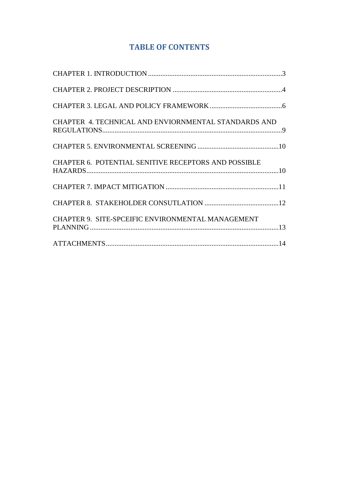## **TABLE OF CONTENTS**

| CHAPTER 4. TECHNICAL AND ENVIORNMENTAL STANDARDS AND        |  |
|-------------------------------------------------------------|--|
|                                                             |  |
| <b>CHAPTER 6. POTENTIAL SENITIVE RECEPTORS AND POSSIBLE</b> |  |
|                                                             |  |
|                                                             |  |
| CHAPTER 9. SITE-SPCEIFIC ENVIRONMENTAL MANAGEMENT           |  |
|                                                             |  |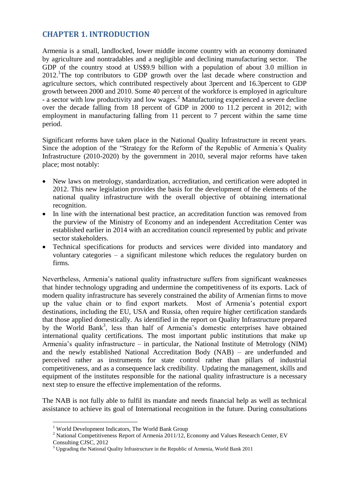## <span id="page-3-0"></span>**CHAPTER 1. INTRODUCTION**

Armenia is a small, landlocked, lower middle income country with an economy dominated by agriculture and nontradables and a negligible and declining manufacturing sector. The GDP of the country stood at US\$9.9 billion with a population of about 3.0 million in 2012.<sup>1</sup>The top contributors to GDP growth over the last decade where construction and agriculture sectors, which contributed respectively about 3percent and 16.3percent to GDP growth between 2000 and 2010. Some 40 percent of the workforce is employed in agriculture - a sector with low productivity and low wages.<sup>2</sup> Manufacturing experienced a severe decline over the decade falling from 18 percent of GDP in 2000 to 11.2 percent in 2012; with employment in manufacturing falling from 11 percent to 7 percent within the same time period.

Significant reforms have taken place in the National Quality Infrastructure in recent years. Since the adoption of the "Strategy for the Reform of the Republic of Armenia´s Quality Infrastructure (2010-2020) by the government in 2010, several major reforms have taken place; most notably:

- New laws on metrology, standardization, accreditation, and certification were adopted in 2012. This new legislation provides the basis for the development of the elements of the national quality infrastructure with the overall objective of obtaining international recognition.
- In line with the international best practice, an accreditation function was removed from the purview of the Ministry of Economy and an independent Accreditation Center was established earlier in 2014 with an accreditation council represented by public and private sector stakeholders.
- Technical specifications for products and services were divided into mandatory and voluntary categories – a significant milestone which reduces the regulatory burden on firms.

Nevertheless, Armenia's national quality infrastructure suffers from significant weaknesses that hinder technology upgrading and undermine the competitiveness of its exports. Lack of modern quality infrastructure has severely constrained the ability of Armenian firms to move up the value chain or to find export markets. Most of Armenia's potential export destinations, including the EU, USA and Russia, often require higher certification standards that those applied domestically. As identified in the report on Quality Infrastructure prepared by the World Bank<sup>3</sup>, less than half of Armenia's domestic enterprises have obtained international quality certifications. The most important public institutions that make up Armenia's quality infrastructure – in particular, the National Institute of Metrology (NIM) and the newly established National Accreditation Body (NAB) – are underfunded and perceived rather as instruments for state control rather than pillars of industrial competitiveness, and as a consequence lack credibility. Updating the management, skills and equipment of the institutes responsible for the national quality infrastructure is a necessary next step to ensure the effective implementation of the reforms.

The NAB is not fully able to fulfil its mandate and needs financial help as well as technical assistance to achieve its goal of International recognition in the future. During consultations

<u>.</u>

<sup>&</sup>lt;sup>1</sup> World Development Indicators, The World Bank Group

<sup>&</sup>lt;sup>2</sup> National Competitiveness Report of Armenia 2011/12, Economy and Values Research Center, EV Consulting CJSC, 2012

<sup>&</sup>lt;sup>3</sup> Upgrading the National Quality Infrastructure in the Republic of Armenia, World Bank 2011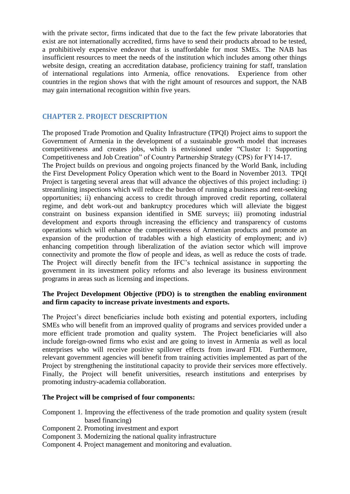with the private sector, firms indicated that due to the fact the few private laboratories that exist are not internationally accredited, firms have to send their products abroad to be tested, a prohibitively expensive endeavor that is unaffordable for most SMEs. The NAB has insufficient resources to meet the needs of the institution which includes among other things website design, creating an accreditation database, proficiency training for staff, translation of international regulations into Armenia, office renovations. Experience from other countries in the region shows that with the right amount of resources and support, the NAB may gain international recognition within five years.

## <span id="page-4-0"></span>**CHAPTER 2. PROJECT DESCRIPTION**

The proposed Trade Promotion and Quality Infrastructure (TPQI) Project aims to support the Government of Armenia in the development of a sustainable growth model that increases competitiveness and creates jobs, which is envisioned under "Cluster 1: Supporting Competitiveness and Job Creation" of Country Partnership Strategy (CPS) for FY14-17. The Project builds on previous and ongoing projects financed by the World Bank, including the First Development Policy Operation which went to the Board in November 2013. TPQI Project is targeting several areas that will advance the objectives of this project including: i) streamlining inspections which will reduce the burden of running a business and rent-seeking opportunities; ii) enhancing access to credit through improved credit reporting, collateral regime, and debt work-out and bankruptcy procedures which will alleviate the biggest constraint on business expansion identified in SME surveys; iii) promoting industrial development and exports through increasing the efficiency and transparency of customs operations which will enhance the competitiveness of Armenian products and promote an expansion of the production of tradables with a high elasticity of employment; and iv) enhancing competition through liberalization of the aviation sector which will improve connectivity and promote the flow of people and ideas, as well as reduce the costs of trade. The Project will directly benefit from the IFC's technical assistance in supporting the government in its investment policy reforms and also leverage its business environment programs in areas such as licensing and inspections.

#### **The Project Development Objective (PDO) is to strengthen the enabling environment and firm capacity to increase private investments and exports.**

The Project's direct beneficiaries include both existing and potential exporters, including SMEs who will benefit from an improved quality of programs and services provided under a more efficient trade promotion and quality system. The Project beneficiaries will also include foreign-owned firms who exist and are going to invest in Armenia as well as local enterprises who will receive positive spillover effects from inward FDI. Furthermore, relevant government agencies will benefit from training activities implemented as part of the Project by strengthening the institutional capacity to provide their services more effectively. Finally, the Project will benefit universities, research institutions and enterprises by promoting industry-academia collaboration.

#### **The Project will be comprised of four components:**

Component 1. Improving the effectiveness of the trade promotion and quality system (result based financing)

- Component 2. Promoting investment and export
- Component 3. Modernizing the national quality infrastructure
- Component 4. Project management and monitoring and evaluation.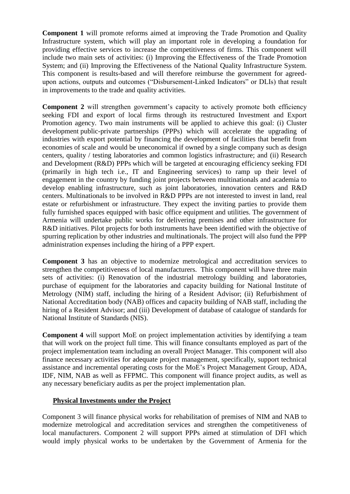**Component 1** will promote reforms aimed at improving the Trade Promotion and Quality Infrastructure system, which will play an important role in developing a foundation for providing effective services to increase the competitiveness of firms. This component will include two main sets of activities: (i) Improving the Effectiveness of the Trade Promotion System; and (ii) Improving the Effectiveness of the National Quality Infrastructure System. This component is results-based and will therefore reimburse the government for agreedupon actions, outputs and outcomes ("Disbursement-Linked Indicators" or DLIs) that result in improvements to the trade and quality activities.

**Component 2** will strengthen government's capacity to actively promote both efficiency seeking FDI and export of local firms through its restructured Investment and Export Promotion agency. Two main instruments will be applied to achieve this goal: (i) Cluster development public-private partnerships (PPPs) which will accelerate the upgrading of industries with export potential by financing the development of facilities that benefit from economies of scale and would be uneconomical if owned by a single company such as design centers, quality / testing laboratories and common logistics infrastructure; and (ii) Research and Development (R&D) PPPs which will be targeted at encouraging efficiency seeking FDI (primarily in high tech i.e., IT and Engineering services) to ramp up their level of engagement in the country by funding joint projects between multinationals and academia to develop enabling infrastructure, such as joint laboratories, innovation centers and R&D centers. Multinationals to be involved in R&D PPPs are not interested to invest in land, real estate or refurbishment or infrastructure. They expect the inviting parties to provide them fully furnished spaces equipped with basic office equipment and utilities. The government of Armenia will undertake public works for delivering premises and other infrastructure for R&D initiatives. Pilot projects for both instruments have been identified with the objective of spurring replication by other industries and multinationals. The project will also fund the PPP administration expenses including the hiring of a PPP expert.

**Component 3** has an objective to modernize metrological and accreditation services to strengthen the competitiveness of local manufacturers. This component will have three main sets of activities: (i) Renovation of the industrial metrology building and laboratories, purchase of equipment for the laboratories and capacity building for National Institute of Metrology (NIM) staff, including the hiring of a Resident Advisor; (ii) Refurbishment of National Accreditation body (NAB) offices and capacity building of NAB staff, including the hiring of a Resident Advisor; and (iii) Development of database of catalogue of standards for National Institute of Standards (NIS).

**Component 4** will support MoE on project implementation activities by identifying a team that will work on the project full time. This will finance consultants employed as part of the project implementation team including an overall Project Manager. This component will also finance necessary activities for adequate project management, specifically, support technical assistance and incremental operating costs for the MoE's Project Management Group, ADA, IDF, NIM, NAB as well as FFPMC. This component will finance project audits, as well as any necessary beneficiary audits as per the project implementation plan.

#### **Physical Investments under the Project**

Component 3 will finance physical works for rehabilitation of premises of NIM and NAB to modernize metrological and accreditation services and strengthen the competitiveness of local manufacturers. Component 2 will support PPPs aimed at stimulation of DFI which would imply physical works to be undertaken by the Government of Armenia for the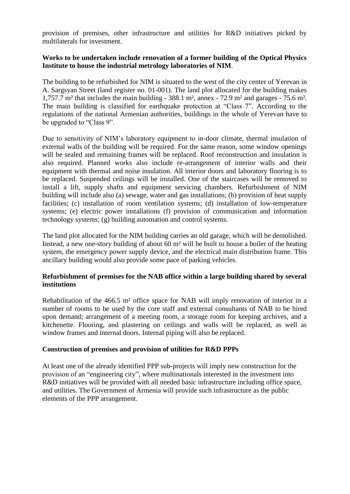provision of premises, other infrastructure and utilities for R&D initiatives picked by multilaterals for investment.

#### **Works to be undertaken include renovation of a former building of the Optical Physics Institute to house the industrial metrology laboratories of NIM**.

The building to be refurbished for NIM is situated to the west of the city center of Yerevan in A. Sargsyan Street (land register no. 01-001). The land plot allocated for the building makes 1,757.7 m² that includes the main building - 388.1 m², annex - 72.9 m² and garages - 75.6 m². The main building is classified for earthquake protection at "Class 7". According to the regulations of the national Armenian authorities, buildings in the whole of Yerevan have to be upgraded to "Class 9".

Due to sensitivity of NIM's laboratory equipment to in-door climate, thermal insulation of external walls of the building will be required. For the same reason, some window openings will be sealed and remaining frames will be replaced. Roof reconstruction and insulation is also required. Planned works also include re-arrangement of interior walls and their equipment with thermal and noise insulation. All interior doors and laboratory flooring is to be replaced. Suspended ceilings will be installed. One of the staircases will be removed to install a lift, supply shafts and equipment servicing chambers. Refurbishment of NIM building will include also (a) sewage, water and gas installations; (b) provision of heat supply facilities; (c) installation of room ventilation systems; (d) installation of low-temperature systems; (e) electric power installations (f) provision of communication and information technology systems; (g) building automation and control systems.

The land plot allocated for the NIM building carries an old garage, which will be demolished. Instead, a new one-story building of about 60 m² will be built to house a boiler of the heating system, the emergency power supply device, and the electrical main distribution frame. This ancillary building would also provide some pace of parking vehicles.

## **Refurbishment of premises for the NAB office within a large building shared by several institutions**

Rehabilitation of the 466.5 m² office space for NAB will imply renovation of interior in a number of rooms to be used by the core staff and external consultants of NAB to be hired upon demand; arrangement of a meeting room, a storage room for keeping archives, and a kitchenette. Flooring, and plastering on ceilings and walls will be replaced, as well as window frames and internal doors. Internal piping will also be replaced.

## <span id="page-6-0"></span>**Construction of premises and provision of utilities for R&D PPPs**

At least one of the already identified PPP sub-projects will imply new construction for the provision of an "engineering city", where multinationals interested in the investment into R&D initiatives will be provided with all needed basic infrastructure including office space, and utilities. The Government of Armenia will provide such infrastructure as the public elements of the PPP arrangement.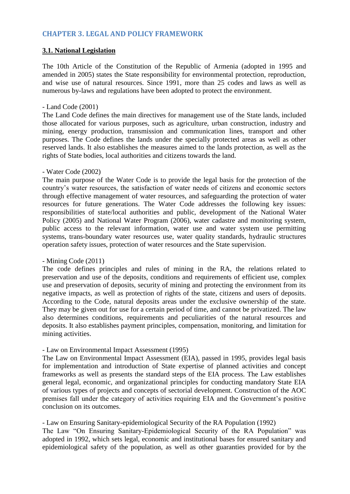## **CHAPTER 3. LEGAL AND POLICY FRAMEWORK**

#### **3.1. National Legislation**

The 10th Article of the Constitution of the Republic of Armenia (adopted in 1995 and amended in 2005) states the State responsibility for environmental protection, reproduction, and wise use of natural resources. Since 1991, more than 25 codes and laws as well as numerous by-laws and regulations have been adopted to protect the environment.

#### - Land Code (2001)

The Land Code defines the main directives for management use of the State lands, included those allocated for various purposes, such as agriculture, urban construction, industry and mining, energy production, transmission and communication lines, transport and other purposes. The Code defines the lands under the specially protected areas as well as other reserved lands. It also establishes the measures aimed to the lands protection, as well as the rights of State bodies, local authorities and citizens towards the land.

#### - Water Code (2002)

The main purpose of the Water Code is to provide the legal basis for the protection of the country's water resources, the satisfaction of water needs of citizens and economic sectors through effective management of water resources, and safeguarding the protection of water resources for future generations. The Water Code addresses the following key issues: responsibilities of state/local authorities and public, development of the National Water Policy (2005) and National Water Program (2006), water cadastre and monitoring system, public access to the relevant information, water use and water system use permitting systems, trans-boundary water resources use, water quality standards, hydraulic structures operation safety issues, protection of water resources and the State supervision.

#### - Mining Code (2011)

The code defines principles and rules of mining in the RA, the relations related to preservation and use of the deposits, conditions and requirements of efficient use, complex use and preservation of deposits, security of mining and protecting the environment from its negative impacts, as well as protection of rights of the state, citizens and users of deposits. According to the Code, natural deposits areas under the exclusive ownership of the state. They may be given out for use for a certain period of time, and cannot be privatized. The law also determines conditions, requirements and peculiarities of the natural resources and deposits. It also establishes payment principles, compensation, monitoring, and limitation for mining activities.

#### - Law on Environmental Impact Assessment (1995)

The Law on Environmental Impact Assessment (EIA), passed in 1995, provides legal basis for implementation and introduction of State expertise of planned activities and concept frameworks as well as presents the standard steps of the EIA process. The Law establishes general legal, economic, and organizational principles for conducting mandatory State EIA of various types of projects and concepts of sectorial development. Construction of the AOC premises fall under the category of activities requiring EIA and the Government's positive conclusion on its outcomes.

## - Law on Ensuring Sanitary-epidemiological Security of the RA Population (1992)

The Law "On Ensuring Sanitary-Epidemiological Security of the RA Population" was adopted in 1992, which sets legal, economic and institutional bases for ensured sanitary and epidemiological safety of the population, as well as other guaranties provided for by the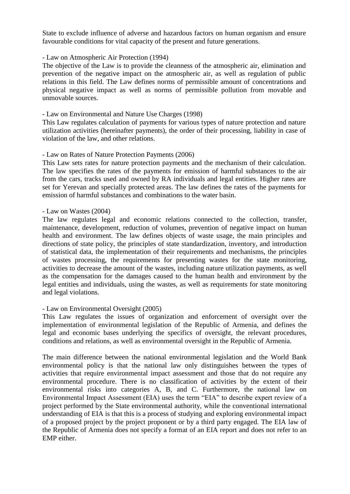State to exclude influence of adverse and hazardous factors on human organism and ensure favourable conditions for vital capacity of the present and future generations.

#### - Law on Atmospheric Air Protection (1994)

The objective of the Law is to provide the cleanness of the atmospheric air, elimination and prevention of the negative impact on the atmospheric air, as well as regulation of public relations in this field. The Law defines norms of permissible amount of concentrations and physical negative impact as well as norms of permissible pollution from movable and unmovable sources.

#### - Law on Environmental and Nature Use Charges (1998)

This Law regulates calculation of payments for various types of nature protection and nature utilization activities (hereinafter payments), the order of their processing, liability in case of violation of the law, and other relations.

#### - Law on Rates of Nature Protection Payments (2006)

This Law sets rates for nature protection payments and the mechanism of their calculation. The law specifies the rates of the payments for emission of harmful substances to the air from the cars, tracks used and owned by RA individuals and legal entities. Higher rates are set for Yerevan and specially protected areas. The law defines the rates of the payments for emission of harmful substances and combinations to the water basin.

#### - Law on Wastes (2004)

The law regulates legal and economic relations connected to the collection, transfer, maintenance, development, reduction of volumes, prevention of negative impact on human health and environment. The law defines objects of waste usage, the main principles and directions of state policy, the principles of state standardization, inventory, and introduction of statistical data, the implementation of their requirements and mechanisms, the principles of wastes processing, the requirements for presenting wastes for the state monitoring, activities to decrease the amount of the wastes, including nature utilization payments, as well as the compensation for the damages caused to the human health and environment by the legal entities and individuals, using the wastes, as well as requirements for state monitoring and legal violations.

#### - Law on Environmental Oversight (2005)

This Law regulates the issues of organization and enforcement of oversight over the implementation of environmental legislation of the Republic of Armenia, and defines the legal and economic bases underlying the specifics of oversight, the relevant procedures, conditions and relations, as well as environmental oversight in the Republic of Armenia.

The main difference between the national environmental legislation and the World Bank environmental policy is that the national law only distinguishes between the types of activities that require environmental impact assessment and those that do not require any environmental procedure. There is no classification of activities by the extent of their environmental risks into categories A, B, and C. Furthermore, the national law on Environmental Impact Assessment (EIA) uses the term "EIA" to describe expert review of a project performed by the State environmental authority, while the conventional international understanding of EIA is that this is a process of studying and exploring environmental impact of a proposed project by the project proponent or by a third party engaged. The EIA law of the Republic of Armenia does not specify a format of an EIA report and does not refer to an EMP either.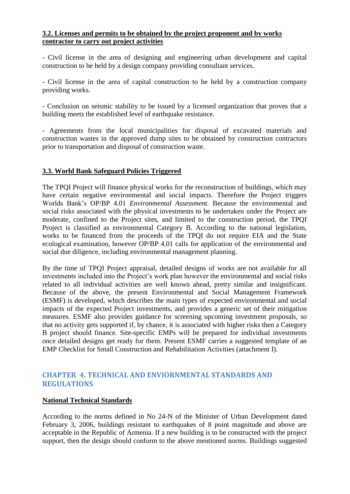#### **3.2. Licenses and permits to be obtained by the project proponent and by works contractor to carry out project activities**

- Civil license in the area of designing and engineering urban development and capital construction to be held by a design company providing consultant services.

- Civil license in the area of capital construction to be held by a construction company providing works.

- Conclusion on seismic stability to be issued by a licensed organization that proves that a building meets the established level of earthquake resistance.

- Agreements from the local municipalities for disposal of excavated materials and construction wastes in the approved dump sites to be obtained by construction contractors prior to transportation and disposal of construction waste.

#### **3.3. World Bank Safeguard Policies Triggered**

The TPQI Project will finance physical works for the reconstruction of buildings, which may have certain negative environmental and social impacts. Therefore the Project triggers Worlds Bank's OP/BP 4.01 *Environmental Assessment.* Because the environmental and social risks associated with the physical investments to be undertaken under the Project are moderate, confined to the Project sites, and limited to the construction period, the TPQI Project is classified as environmental Category B. According to the national legislation, works to be financed from the proceeds of the TPQI do not require EIA and the State ecological examination, however OP/BP 4.01 calls for application of the environmental and social due diligence, including environmental management planning.

By the time of TPQI Project appraisal, detailed designs of works are not available for all investments included into the Project's work plan however the environmental and social risks related to all individual activities are well known ahead, pretty similar and insignificant. Because of the above, the present Environmental and Social Management Framework (ESMF) is developed, which describes the main types of expected environmental and social impacts of the expected Project investments, and provides a generic set of their mitigation measures. ESMF also provides guidance for screening upcoming investment proposals, so that no activity gets supported if, by chance, it is associated with higher risks then a Category B project should finance. Site-specific EMPs will be prepared for individual investments once detailed designs get ready for them. Present ESMF carries a suggested template of an EMP Checklist for Small Construction and Rehabilitation Activities (attachment I).

## <span id="page-9-0"></span>**CHAPTER 4. TECHNICAL AND ENVIORNMENTAL STANDARDS AND REGULATIONS**

## **National Technical Standards**

According to the norms defined in No 24-N of the Minister of Urban Development dated February 3, 2006, buildings resistant to earthquakes of 8 point magnitude and above are acceptable in the Republic of Armenia. If a new building is to be constructed with the project support, then the design should conform to the above mentioned norms. Buildings suggested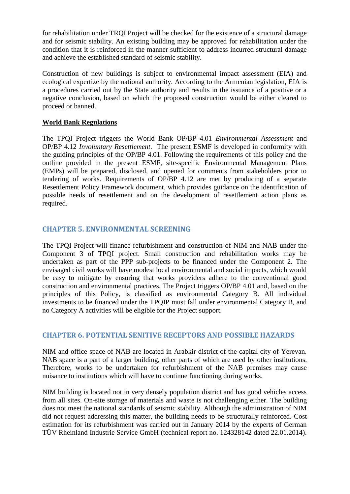for rehabilitation under TRQI Project will be checked for the existence of a structural damage and for seismic stability. An existing building may be approved for rehabilitation under the condition that it is reinforced in the manner sufficient to address incurred structural damage and achieve the established standard of seismic stability.

Construction of new buildings is subject to environmental impact assessment (EIA) and ecological expertize by the national authority. According to the Armenian legislation, EIA is a procedures carried out by the State authority and results in the issuance of a positive or a negative conclusion, based on which the proposed construction would be either cleared to proceed or banned.

#### **World Bank Regulations**

The TPQI Project triggers the World Bank OP/BP 4.01 *Environmental Assessment* and OP/BP 4.12 *Involuntary Resettlement*. The present ESMF is developed in conformity with the guiding principles of the OP/BP 4.01. Following the requirements of this policy and the outline provided in the present ESMF, site-specific Environmental Management Plans (EMPs) will be prepared, disclosed, and opened for comments from stakeholders prior to tendering of works. Requirements of OP/BP 4.12 are met by producing of a separate Resettlement Policy Framework document, which provides guidance on the identification of possible needs of resettlement and on the development of resettlement action plans as required.

## <span id="page-10-0"></span>**CHAPTER 5. ENVIRONMENTAL SCREENING**

The TPQI Project will finance refurbishment and construction of NIM and NAB under the Component 3 of TPQI project. Small construction and rehabilitation works may be undertaken as part of the PPP sub-projects to be financed under the Component 2. The envisaged civil works will have modest local environmental and social impacts, which would be easy to mitigate by ensuring that works providers adhere to the conventional good construction and environmental practices. The Project triggers OP/BP 4.01 and, based on the principles of this Policy, is classified as environmental Category B. All individual investments to be financed under the TPQIP must fall under environmental Category B, and no Category A activities will be eligible for the Project support.

## <span id="page-10-1"></span>**CHAPTER 6. POTENTIAL SENITIVE RECEPTORS AND POSSIBLE HAZARDS**

NIM and office space of NAB are located in Arabkir district of the capital city of Yerevan. NAB space is a part of a larger building, other parts of which are used by other institutions. Therefore, works to be undertaken for refurbishment of the NAB premises may cause nuisance to institutions which will have to continue functioning during works.

NIM building is located not in very densely population district and has good vehicles access from all sites. On-site storage of materials and waste is not challenging either. The building does not meet the national standards of seismic stability. Although the administration of NIM did not request addressing this matter, the building needs to be structurally reinforced. Cost estimation for its refurbishment was carried out in January 2014 by the experts of German TÜV Rheinland Industrie Service GmbH (technical report no. 124328142 dated 22.01.2014).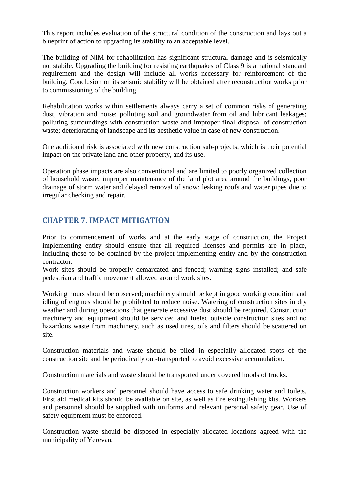This report includes evaluation of the structural condition of the construction and lays out a blueprint of action to upgrading its stability to an acceptable level.

The building of NIM for rehabilitation has significant structural damage and is seismically not stabile. Upgrading the building for resisting earthquakes of Class 9 is a national standard requirement and the design will include all works necessary for reinforcement of the building. Conclusion on its seismic stability will be obtained after reconstruction works prior to commissioning of the building.

Rehabilitation works within settlements always carry a set of common risks of generating dust, vibration and noise; polluting soil and groundwater from oil and lubricant leakages; polluting surroundings with construction waste and improper final disposal of construction waste; deteriorating of landscape and its aesthetic value in case of new construction.

One additional risk is associated with new construction sub-projects, which is their potential impact on the private land and other property, and its use.

Operation phase impacts are also conventional and are limited to poorly organized collection of household waste; improper maintenance of the land plot area around the buildings, poor drainage of storm water and delayed removal of snow; leaking roofs and water pipes due to irregular checking and repair.

## <span id="page-11-0"></span>**CHAPTER 7. IMPACT MITIGATION**

Prior to commencement of works and at the early stage of construction, the Project implementing entity should ensure that all required licenses and permits are in place, including those to be obtained by the project implementing entity and by the construction contractor.

Work sites should be properly demarcated and fenced; warning signs installed; and safe pedestrian and traffic movement allowed around work sites.

Working hours should be observed; machinery should be kept in good working condition and idling of engines should be prohibited to reduce noise. Watering of construction sites in dry weather and during operations that generate excessive dust should be required. Construction machinery and equipment should be serviced and fueled outside construction sites and no hazardous waste from machinery, such as used tires, oils and filters should be scattered on site.

Construction materials and waste should be piled in especially allocated spots of the construction site and be periodically out-transported to avoid excessive accumulation.

Construction materials and waste should be transported under covered hoods of trucks.

Construction workers and personnel should have access to safe drinking water and toilets. First aid medical kits should be available on site, as well as fire extinguishing kits. Workers and personnel should be supplied with uniforms and relevant personal safety gear. Use of safety equipment must be enforced.

Construction waste should be disposed in especially allocated locations agreed with the municipality of Yerevan.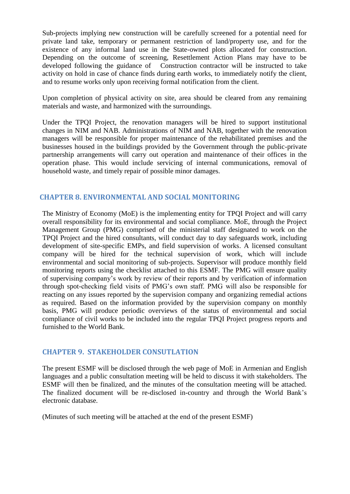Sub-projects implying new construction will be carefully screened for a potential need for private land take, temporary or permanent restriction of land/property use, and for the existence of any informal land use in the State-owned plots allocated for construction. Depending on the outcome of screening, Resettlement Action Plans may have to be developed following the guidance of Construction contractor will be instructed to take activity on hold in case of chance finds during earth works, to immediately notify the client, and to resume works only upon receiving formal notification from the client.

Upon completion of physical activity on site, area should be cleared from any remaining materials and waste, and harmonized with the surroundings.

Under the TPQI Project, the renovation managers will be hired to support institutional changes in NIM and NAB. Administrations of NIM and NAB, together with the renovation managers will be responsible for proper maintenance of the rehabilitated premises and the businesses housed in the buildings provided by the Government through the public-private partnership arrangements will carry out operation and maintenance of their offices in the operation phase. This would include servicing of internal communications, removal of household waste, and timely repair of possible minor damages.

## **CHAPTER 8. ENVIRONMENTAL AND SOCIAL MONITORING**

The Ministry of Economy (MoE) is the implementing entity for TPQI Project and will carry overall responsibility for its environmental and social compliance. MoE, through the Project Management Group (PMG) comprised of the ministerial staff designated to work on the TPQI Project and the hired consultants, will conduct day to day safeguards work, including development of site-specific EMPs, and field supervision of works. A licensed consultant company will be hired for the technical supervision of work, which will include environmental and social monitoring of sub-projects. Supervisor will produce monthly field monitoring reports using the checklist attached to this ESMF. The PMG will ensure quality of supervising company's work by review of their reports and by verification of information through spot-checking field visits of PMG's own staff. PMG will also be responsible for reacting on any issues reported by the supervision company and organizing remedial actions as required. Based on the information provided by the supervision company on monthly basis, PMG will produce periodic overviews of the status of environmental and social compliance of civil works to be included into the regular TPQI Project progress reports and furnished to the World Bank.

## <span id="page-12-0"></span>**CHAPTER 9. STAKEHOLDER CONSUTLATION**

The present ESMF will be disclosed through the web page of MoE in Armenian and English languages and a public consultation meeting will be held to discuss it with stakeholders. The ESMF will then be finalized, and the minutes of the consultation meeting will be attached. The finalized document will be re-disclosed in-country and through the World Bank's electronic database.

(Minutes of such meeting will be attached at the end of the present ESMF)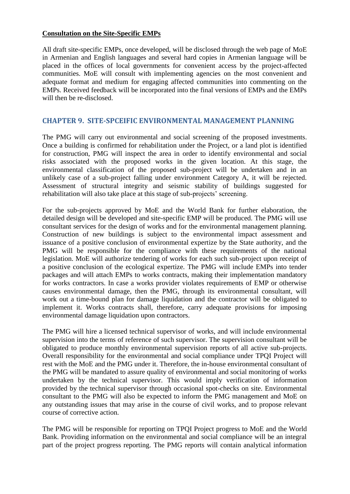#### **Consultation on the Site-Specific EMPs**

All draft site-specific EMPs, once developed, will be disclosed through the web page of MoE in Armenian and English languages and several hard copies in Armenian language will be placed in the offices of local governments for convenient access by the project-affected communities. MoE will consult with implementing agencies on the most convenient and adequate format and medium for engaging affected communities into commenting on the EMPs. Received feedback will be incorporated into the final versions of EMPs and the EMPs will then be re-disclosed.

## <span id="page-13-0"></span>**CHAPTER 9. SITE-SPCEIFIC ENVIRONMENTAL MANAGEMENT PLANNING**

The PMG will carry out environmental and social screening of the proposed investments. Once a building is confirmed for rehabilitation under the Project, or a land plot is identified for construction, PMG will inspect the area in order to identify environmental and social risks associated with the proposed works in the given location. At this stage, the environmental classification of the proposed sub-project will be undertaken and in an unlikely case of a sub-project falling under environment Category A, it will be rejected. Assessment of structural integrity and seismic stability of buildings suggested for rehabilitation will also take place at this stage of sub-projects' screening.

For the sub-projects approved by MoE and the World Bank for further elaboration, the detailed design will be developed and site-specific EMP will be produced. The PMG will use consultant services for the design of works and for the environmental management planning. Construction of new buildings is subject to the environmental impact assessment and issuance of a positive conclusion of environmental expertize by the State authority, and the PMG will be responsible for the compliance with these requirements of the national legislation. MoE will authorize tendering of works for each such sub-project upon receipt of a positive conclusion of the ecological expertize. The PMG will include EMPs into tender packages and will attach EMPs to works contracts, making their implementation mandatory for works contractors. In case a works provider violates requirements of EMP or otherwise causes environmental damage, then the PMG, through its environmental consultant, will work out a time-bound plan for damage liquidation and the contractor will be obligated to implement it. Works contracts shall, therefore, carry adequate provisions for imposing environmental damage liquidation upon contractors.

The PMG will hire a licensed technical supervisor of works, and will include environmental supervision into the terms of reference of such supervisor. The supervision consultant will be obligated to produce monthly environmental supervision reports of all active sub-projects. Overall responsibility for the environmental and social compliance under TPQI Project will rest with the MoE and the PMG under it. Therefore, the in-house environmental consultant of the PMG will be mandated to assure quality of environmental and social monitoring of works undertaken by the technical supervisor. This would imply verification of information provided by the technical supervisor through occasional spot-checks on site. Environmental consultant to the PMG will also be expected to inform the PMG management and MoE on any outstanding issues that may arise in the course of civil works, and to propose relevant course of corrective action.

The PMG will be responsible for reporting on TPQI Project progress to MoE and the World Bank. Providing information on the environmental and social compliance will be an integral part of the project progress reporting. The PMG reports will contain analytical information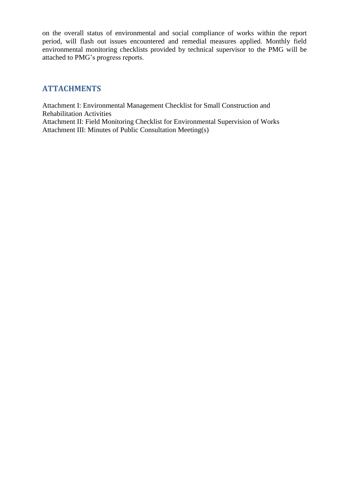on the overall status of environmental and social compliance of works within the report period, will flash out issues encountered and remedial measures applied. Monthly field environmental monitoring checklists provided by technical supervisor to the PMG will be attached to PMG's progress reports.

## <span id="page-14-0"></span>**ATTACHMENTS**

Attachment I: Environmental Management Checklist for Small Construction and Rehabilitation Activities Attachment II: Field Monitoring Checklist for Environmental Supervision of Works Attachment III: Minutes of Public Consultation Meeting(s)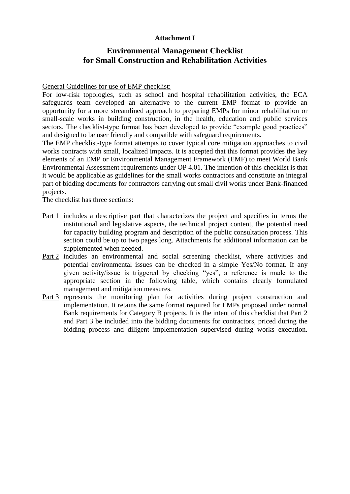## **Attachment I**

## **Environmental Management Checklist for Small Construction and Rehabilitation Activities**

#### General Guidelines for use of EMP checklist:

For low-risk topologies, such as school and hospital rehabilitation activities, the ECA safeguards team developed an alternative to the current EMP format to provide an opportunity for a more streamlined approach to preparing EMPs for minor rehabilitation or small-scale works in building construction, in the health, education and public services sectors. The checklist-type format has been developed to provide "example good practices" and designed to be user friendly and compatible with safeguard requirements.

The EMP checklist-type format attempts to cover typical core mitigation approaches to civil works contracts with small, localized impacts. It is accepted that this format provides the key elements of an EMP or Environmental Management Framework (EMF) to meet World Bank Environmental Assessment requirements under OP 4.01. The intention of this checklist is that it would be applicable as guidelines for the small works contractors and constitute an integral part of bidding documents for contractors carrying out small civil works under Bank-financed projects.

The checklist has three sections:

- Part 1 includes a descriptive part that characterizes the project and specifies in terms the institutional and legislative aspects, the technical project content, the potential need for capacity building program and description of the public consultation process. This section could be up to two pages long. Attachments for additional information can be supplemented when needed.
- Part 2 includes an environmental and social screening checklist, where activities and potential environmental issues can be checked in a simple Yes/No format. If any given activity/issue is triggered by checking "yes", a reference is made to the appropriate section in the following table, which contains clearly formulated management and mitigation measures.
- Part 3 represents the monitoring plan for activities during project construction and implementation. It retains the same format required for EMPs proposed under normal Bank requirements for Category B projects. It is the intent of this checklist that Part 2 and Part 3 be included into the bidding documents for contractors, priced during the bidding process and diligent implementation supervised during works execution.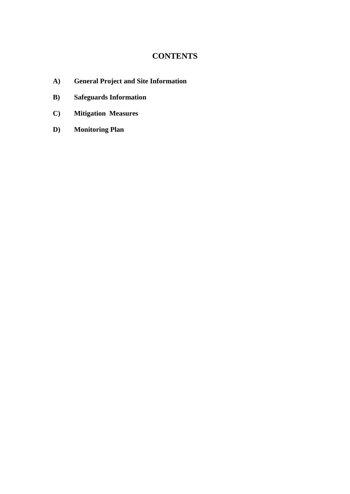## **CONTENTS**

- **A) General Project and Site Information**
- **B) Safeguards Information**
- **C) Mitigation Measures**
- **D) Monitoring Plan**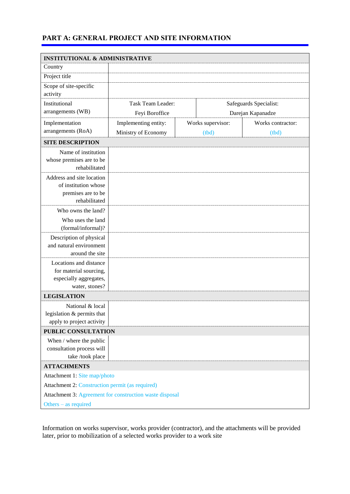## **PART A: GENERAL PROJECT AND SITE INFORMATION**

| <b>INSTITUTIONAL &amp; ADMINISTRATIVE</b>         |                                                         |                        |                   |                   |
|---------------------------------------------------|---------------------------------------------------------|------------------------|-------------------|-------------------|
| Country                                           |                                                         |                        |                   |                   |
| Project title                                     |                                                         |                        |                   |                   |
| Scope of site-specific                            |                                                         |                        |                   |                   |
| activity                                          |                                                         |                        |                   |                   |
| Institutional                                     | Task Team Leader:                                       | Safeguards Specialist: |                   |                   |
| arrangements (WB)                                 | Feyi Boroffice                                          |                        |                   | Darejan Kapanadze |
| Implementation                                    | Implementing entity:                                    |                        | Works supervisor: | Works contractor: |
| arrangements (RoA)                                | Ministry of Economy                                     |                        | (tbd)             | (tbd)             |
| <b>SITE DESCRIPTION</b>                           |                                                         |                        |                   |                   |
| Name of institution                               |                                                         |                        |                   |                   |
| whose premises are to be                          |                                                         |                        |                   |                   |
| rehabilitated                                     |                                                         |                        |                   |                   |
| Address and site location<br>of institution whose |                                                         |                        |                   |                   |
| premises are to be                                |                                                         |                        |                   |                   |
| rehabilitated                                     |                                                         |                        |                   |                   |
| Who owns the land?                                |                                                         |                        |                   |                   |
| Who uses the land                                 |                                                         |                        |                   |                   |
| (formal/informal)?                                |                                                         |                        |                   |                   |
| Description of physical                           |                                                         |                        |                   |                   |
| and natural environment                           |                                                         |                        |                   |                   |
| around the site                                   |                                                         |                        |                   |                   |
| Locations and distance<br>for material sourcing,  |                                                         |                        |                   |                   |
| especially aggregates,                            |                                                         |                        |                   |                   |
| water, stones?                                    |                                                         |                        |                   |                   |
| <b>LEGISLATION</b>                                |                                                         |                        |                   |                   |
| National & local                                  |                                                         |                        |                   |                   |
| legislation & permits that                        |                                                         |                        |                   |                   |
| apply to project activity                         |                                                         |                        |                   |                   |
| PUBLIC CONSULTATION                               |                                                         |                        |                   |                   |
| When / where the public                           |                                                         |                        |                   |                   |
| consultation process will<br>take /took place     |                                                         |                        |                   |                   |
| <b>ATTACHMENTS</b>                                |                                                         |                        |                   |                   |
| Attachment 1: Site map/photo                      |                                                         |                        |                   |                   |
| Attachment 2: Construction permit (as required)   |                                                         |                        |                   |                   |
|                                                   | Attachment 3: Agreement for construction waste disposal |                        |                   |                   |
| Others $-$ as required                            |                                                         |                        |                   |                   |

Information on works supervisor, works provider (contractor), and the attachments will be provided later, prior to mobilization of a selected works provider to a work site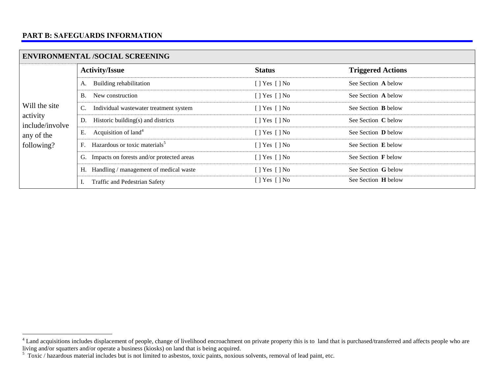## **PART B: SAFEGUARDS INFORMATION**

 $\overline{a}$ 

| <b>ENVIRONMENTAL /SOCIAL SCREENING</b>                                   |                                                          |                    |                            |  |  |  |  |
|--------------------------------------------------------------------------|----------------------------------------------------------|--------------------|----------------------------|--|--|--|--|
| Will the site<br>activity<br>include/involve<br>any of the<br>following? | <b>Activity/Issue</b>                                    | <b>Status</b>      | <b>Triggered Actions</b>   |  |  |  |  |
|                                                                          | Building rehabilitation<br>А.                            | $[$   Yes $[$   No | See Section A below        |  |  |  |  |
|                                                                          | New construction<br>В.                                   | $[$   Yes $[$   No | See Section A below        |  |  |  |  |
|                                                                          | $\mathbf{C}$ .<br>Individual wastewater treatment system | $[$   Yes $[$   No | See Section <b>B</b> below |  |  |  |  |
|                                                                          | Historic building(s) and districts<br>D.                 | $[$   Yes $[$   No | See Section C below        |  |  |  |  |
|                                                                          | Acquisition of land <sup>4</sup><br>Е.                   | $[$   Yes $[$   No | See Section <b>D</b> below |  |  |  |  |
|                                                                          | Hazardous or toxic materials <sup>5</sup><br>F.          | $[$   Yes $[$   No | See Section E below        |  |  |  |  |
|                                                                          | Impacts on forests and/or protected areas<br>G.          | $[$ ] Yes $[$ ] No | See Section F below        |  |  |  |  |
|                                                                          | H. Handling / management of medical waste                | $[$   Yes $[$   No | See Section G below        |  |  |  |  |
|                                                                          | Traffic and Pedestrian Safety                            | $[$ ] Yes $[$ ] No | See Section <b>H</b> below |  |  |  |  |

<sup>&</sup>lt;sup>4</sup> Land acquisitions includes displacement of people, change of livelihood encroachment on private property this is to land that is purchased/transferred and affects people who are living and/or squatters and/or operate a business (kiosks) on land that is being acquired.<br><sup>5</sup> Toxic / hazardous material includes but is not limited to asbestos, toxic paints, noxious solvents, removal of lead paint, etc.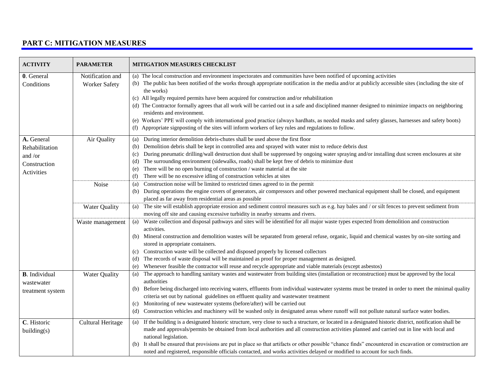## **PART C: MITIGATION MEASURES**

| <b>ACTIVITY</b>                                                       | <b>PARAMETER</b>                         | MITIGATION MEASURES CHECKLIST                                                                                                                                                                                                                                                                                                                                                                                                                                                                                                                                                                                                                                                                                                                                                                                                          |
|-----------------------------------------------------------------------|------------------------------------------|----------------------------------------------------------------------------------------------------------------------------------------------------------------------------------------------------------------------------------------------------------------------------------------------------------------------------------------------------------------------------------------------------------------------------------------------------------------------------------------------------------------------------------------------------------------------------------------------------------------------------------------------------------------------------------------------------------------------------------------------------------------------------------------------------------------------------------------|
| 0. General<br>Conditions                                              | Notification and<br><b>Worker Safety</b> | (a) The local construction and environment inspectorates and communities have been notified of upcoming activities<br>(b) The public has been notified of the works through appropriate notification in the media and/or at publicly accessible sites (including the site of<br>the works)<br>(c) All legally required permits have been acquired for construction and/or rehabilitation<br>(d) The Contractor formally agrees that all work will be carried out in a safe and disciplined manner designed to minimize impacts on neighboring<br>residents and environment.<br>(e) Workers' PPE will comply with international good practice (always hardhats, as needed masks and safety glasses, harnesses and safety boots)<br>(f) Appropriate signposting of the sites will inform workers of key rules and regulations to follow. |
| A. General<br>Rehabilitation<br>and /or<br>Construction<br>Activities | Air Quality                              | During interior demolition debris-chutes shall be used above the first floor<br>(a)<br>Demolition debris shall be kept in controlled area and sprayed with water mist to reduce debris dust<br>(b)<br>During pneumatic drilling/wall destruction dust shall be suppressed by ongoing water spraying and/or installing dust screen enclosures at site<br>(c)<br>The surrounding environment (sidewalks, roads) shall be kept free of debris to minimize dust<br>(d)<br>There will be no open burning of construction / waste material at the site<br>(e)<br>There will be no excessive idling of construction vehicles at sites<br>(f)                                                                                                                                                                                                  |
|                                                                       | Noise                                    | Construction noise will be limited to restricted times agreed to in the permit<br>(a)<br>During operations the engine covers of generators, air compressors and other powered mechanical equipment shall be closed, and equipment<br>(b)<br>placed as far away from residential areas as possible                                                                                                                                                                                                                                                                                                                                                                                                                                                                                                                                      |
|                                                                       | Water Quality                            | The site will establish appropriate erosion and sediment control measures such as e.g. hay bales and / or silt fences to prevent sediment from<br>(a)<br>moving off site and causing excessive turbidity in nearby streams and rivers.                                                                                                                                                                                                                                                                                                                                                                                                                                                                                                                                                                                                 |
|                                                                       | Waste management                         | Waste collection and disposal pathways and sites will be identified for all major waste types expected from demolition and construction<br>(a)<br>activities.<br>Mineral construction and demolition wastes will be separated from general refuse, organic, liquid and chemical wastes by on-site sorting and<br>(b)<br>stored in appropriate containers.<br>Construction waste will be collected and disposed properly by licensed collectors<br>(c)<br>The records of waste disposal will be maintained as proof for proper management as designed.<br>(d)<br>Whenever feasible the contractor will reuse and recycle appropriate and viable materials (except asbestos)<br>(e)                                                                                                                                                      |
| <b>B</b> . Individual<br>wastewater<br>treatment system               | <b>Water Quality</b>                     | The approach to handling sanitary wastes and wastewater from building sites (installation or reconstruction) must be approved by the local<br>(a)<br>authorities<br>Before being discharged into receiving waters, effluents from individual wastewater systems must be treated in order to meet the minimal quality<br>(b)<br>criteria set out by national guidelines on effluent quality and wastewater treatment<br>Monitoring of new wastewater systems (before/after) will be carried out<br>(c)<br>Construction vehicles and machinery will be washed only in designated areas where runoff will not pollute natural surface water bodies.<br>(d)                                                                                                                                                                                |
| C. Historic<br>building(s)                                            | <b>Cultural Heritage</b>                 | If the building is a designated historic structure, very close to such a structure, or located in a designated historic district, notification shall be<br>(a)<br>made and approvals/permits be obtained from local authorities and all construction activities planned and carried out in line with local and<br>national legislation.<br>It shall be ensured that provisions are put in place so that artifacts or other possible "chance finds" encountered in excavation or construction are<br>(b)<br>noted and registered, responsible officials contacted, and works activities delayed or modified to account for such finds.                                                                                                                                                                                                  |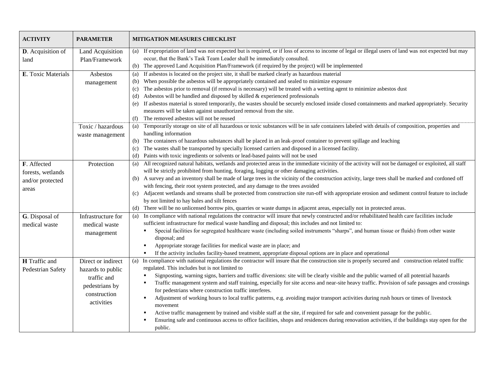| <b>ACTIVITY</b>                                               | <b>PARAMETER</b>                                                                                       | <b>MITIGATION MEASURES CHECKLIST</b>                                                                                                                                                                                                                                                                                                                                                                                                                                                                                                                                                                                                                                                                                                                                                                                                                                                                                                                                                                                                                                                                                                             |
|---------------------------------------------------------------|--------------------------------------------------------------------------------------------------------|--------------------------------------------------------------------------------------------------------------------------------------------------------------------------------------------------------------------------------------------------------------------------------------------------------------------------------------------------------------------------------------------------------------------------------------------------------------------------------------------------------------------------------------------------------------------------------------------------------------------------------------------------------------------------------------------------------------------------------------------------------------------------------------------------------------------------------------------------------------------------------------------------------------------------------------------------------------------------------------------------------------------------------------------------------------------------------------------------------------------------------------------------|
| D. Acquisition of<br>land                                     | Land Acquisition<br>Plan/Framework                                                                     | (a) If expropriation of land was not expected but is required, or if loss of access to income of legal or illegal users of land was not expected but may<br>occur, that the Bank's Task Team Leader shall be immediately consulted.<br>The approved Land Acquisition Plan/Framework (if required by the project) will be implemented<br>(b)                                                                                                                                                                                                                                                                                                                                                                                                                                                                                                                                                                                                                                                                                                                                                                                                      |
| E. Toxic Materials                                            | Asbestos<br>management<br>Toxic / hazardous<br>waste management                                        | If asbestos is located on the project site, it shall be marked clearly as hazardous material<br>(a)<br>When possible the asbestos will be appropriately contained and sealed to minimize exposure<br>(b)<br>The asbestos prior to removal (if removal is necessary) will be treated with a wetting agent to minimize asbestos dust<br>(c)<br>Asbestos will be handled and disposed by skilled & experienced professionals<br>(d)<br>If asbestos material is stored temporarily, the wastes should be securely enclosed inside closed containments and marked appropriately. Security<br>(e)<br>measures will be taken against unauthorized removal from the site.<br>The removed asbestos will not be reused<br>(f)<br>Temporarily storage on site of all hazardous or toxic substances will be in safe containers labeled with details of composition, properties and<br>(a)<br>handling information<br>The containers of hazardous substances shall be placed in an leak-proof container to prevent spillage and leaching<br>(b)<br>The wastes shall be transported by specially licensed carriers and disposed in a licensed facility.<br>(c) |
| F. Affected<br>forests, wetlands<br>and/or protected<br>areas | Protection                                                                                             | Paints with toxic ingredients or solvents or lead-based paints will not be used<br>(d)<br>All recognized natural habitats, wetlands and protected areas in the immediate vicinity of the activity will not be damaged or exploited, all staff<br>(a)<br>will be strictly prohibited from hunting, foraging, logging or other damaging activities.<br>(b) A survey and an inventory shall be made of large trees in the vicinity of the construction activity, large trees shall be marked and cordoned off<br>with fencing, their root system protected, and any damage to the trees avoided<br>Adjacent wetlands and streams shall be protected from construction site run-off with appropriate erosion and sediment control feature to include<br>(c)<br>by not limited to hay bales and silt fences<br>(d) There will be no unlicensed borrow pits, quarries or waste dumps in adjacent areas, especially not in protected areas.                                                                                                                                                                                                             |
| G. Disposal of<br>medical waste                               | Infrastructure for<br>medical waste<br>management                                                      | In compliance with national regulations the contractor will insure that newly constructed and/or rehabilitated health care facilities include<br>(a)<br>sufficient infrastructure for medical waste handling and disposal; this includes and not limited to:<br>Special facilities for segregated healthcare waste (including soiled instruments "sharps", and human tissue or fluids) from other waste<br>disposal; and<br>Appropriate storage facilities for medical waste are in place; and<br>п<br>If the activity includes facility-based treatment, appropriate disposal options are in place and operational<br>$\blacksquare$                                                                                                                                                                                                                                                                                                                                                                                                                                                                                                            |
| <b>H</b> Traffic and<br>Pedestrian Safety                     | Direct or indirect<br>hazards to public<br>traffic and<br>pedestrians by<br>construction<br>activities | (a) In compliance with national regulations the contractor will insure that the construction site is properly secured and construction related traffic<br>regulated. This includes but is not limited to<br>Signposting, warning signs, barriers and traffic diversions: site will be clearly visible and the public warned of all potential hazards<br>Traffic management system and staff training, especially for site access and near-site heavy traffic. Provision of safe passages and crossings<br>for pedestrians where construction traffic interferes.<br>Adjustment of working hours to local traffic patterns, e.g. avoiding major transport activities during rush hours or times of livestock<br>movement<br>Active traffic management by trained and visible staff at the site, if required for safe and convenient passage for the public.<br>Ensuring safe and continuous access to office facilities, shops and residences during renovation activities, if the buildings stay open for the<br>public.                                                                                                                         |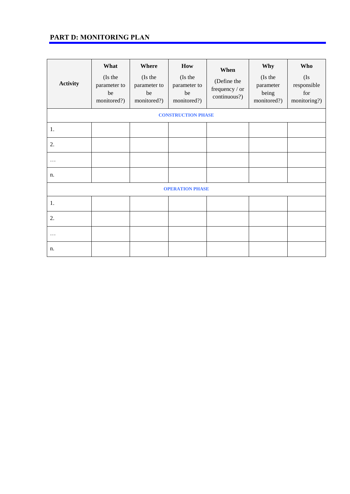## **PART D: MONITORING PLAN**

| <b>Activity</b> | What<br>(Is the<br>parameter to<br>be<br>monitored?) | Where<br>(Is the<br>parameter to<br>be<br>monitored?) | How<br>(Is the<br>parameter to<br>be<br>monitored?) | When<br>(Define the<br>frequency / or<br>continuous?) | Why<br>(Is the<br>parameter<br>being<br>monitored?) | Who<br>(Is)<br>responsible<br>for<br>monitoring?) |
|-----------------|------------------------------------------------------|-------------------------------------------------------|-----------------------------------------------------|-------------------------------------------------------|-----------------------------------------------------|---------------------------------------------------|
|                 |                                                      |                                                       | <b>CONSTRUCTION PHASE</b>                           |                                                       |                                                     |                                                   |
| 1.              |                                                      |                                                       |                                                     |                                                       |                                                     |                                                   |
| 2.              |                                                      |                                                       |                                                     |                                                       |                                                     |                                                   |
| .               |                                                      |                                                       |                                                     |                                                       |                                                     |                                                   |
| n.              |                                                      |                                                       |                                                     |                                                       |                                                     |                                                   |
|                 |                                                      |                                                       | <b>OPERATION PHASE</b>                              |                                                       |                                                     |                                                   |
| 1.              |                                                      |                                                       |                                                     |                                                       |                                                     |                                                   |
| 2.              |                                                      |                                                       |                                                     |                                                       |                                                     |                                                   |
| .               |                                                      |                                                       |                                                     |                                                       |                                                     |                                                   |
| n.              |                                                      |                                                       |                                                     |                                                       |                                                     |                                                   |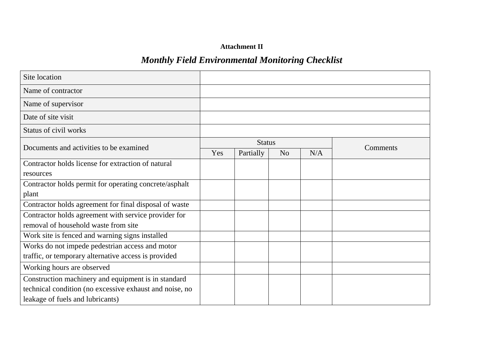## **Attachment II**

# *Monthly Field Environmental Monitoring Checklist*

| Site location                                           |     |               |                |     |          |
|---------------------------------------------------------|-----|---------------|----------------|-----|----------|
| Name of contractor                                      |     |               |                |     |          |
| Name of supervisor                                      |     |               |                |     |          |
| Date of site visit                                      |     |               |                |     |          |
| Status of civil works                                   |     |               |                |     |          |
| Documents and activities to be examined                 |     | <b>Status</b> |                |     | Comments |
|                                                         | Yes | Partially     | N <sub>o</sub> | N/A |          |
| Contractor holds license for extraction of natural      |     |               |                |     |          |
| resources                                               |     |               |                |     |          |
| Contractor holds permit for operating concrete/asphalt  |     |               |                |     |          |
| plant                                                   |     |               |                |     |          |
| Contractor holds agreement for final disposal of waste  |     |               |                |     |          |
| Contractor holds agreement with service provider for    |     |               |                |     |          |
| removal of household waste from site                    |     |               |                |     |          |
| Work site is fenced and warning signs installed         |     |               |                |     |          |
| Works do not impede pedestrian access and motor         |     |               |                |     |          |
| traffic, or temporary alternative access is provided    |     |               |                |     |          |
| Working hours are observed                              |     |               |                |     |          |
| Construction machinery and equipment is in standard     |     |               |                |     |          |
| technical condition (no excessive exhaust and noise, no |     |               |                |     |          |
| leakage of fuels and lubricants)                        |     |               |                |     |          |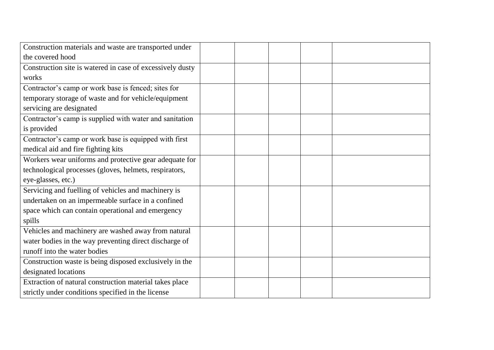| Construction materials and waste are transported under    |  |  |  |
|-----------------------------------------------------------|--|--|--|
| the covered hood                                          |  |  |  |
| Construction site is watered in case of excessively dusty |  |  |  |
| works                                                     |  |  |  |
| Contractor's camp or work base is fenced; sites for       |  |  |  |
| temporary storage of waste and for vehicle/equipment      |  |  |  |
| servicing are designated                                  |  |  |  |
| Contractor's camp is supplied with water and sanitation   |  |  |  |
| is provided                                               |  |  |  |
| Contractor's camp or work base is equipped with first     |  |  |  |
| medical aid and fire fighting kits                        |  |  |  |
| Workers wear uniforms and protective gear adequate for    |  |  |  |
| technological processes (gloves, helmets, respirators,    |  |  |  |
| eye-glasses, etc.)                                        |  |  |  |
| Servicing and fuelling of vehicles and machinery is       |  |  |  |
| undertaken on an impermeable surface in a confined        |  |  |  |
| space which can contain operational and emergency         |  |  |  |
| spills                                                    |  |  |  |
| Vehicles and machinery are washed away from natural       |  |  |  |
| water bodies in the way preventing direct discharge of    |  |  |  |
| runoff into the water bodies                              |  |  |  |
| Construction waste is being disposed exclusively in the   |  |  |  |
| designated locations                                      |  |  |  |
| Extraction of natural construction material takes place   |  |  |  |
| strictly under conditions specified in the license        |  |  |  |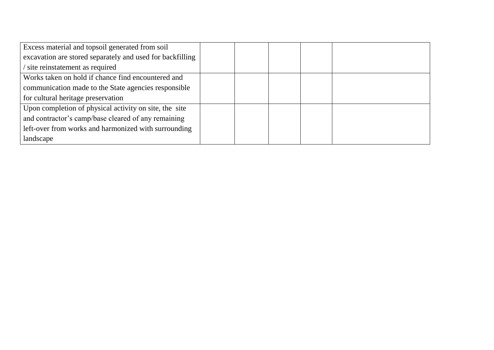| Excess material and topsoil generated from soil           |  |  |  |
|-----------------------------------------------------------|--|--|--|
| excavation are stored separately and used for backfilling |  |  |  |
| site reinstatement as required                            |  |  |  |
| Works taken on hold if chance find encountered and        |  |  |  |
| communication made to the State agencies responsible      |  |  |  |
| for cultural heritage preservation                        |  |  |  |
| Upon completion of physical activity on site, the site    |  |  |  |
| and contractor's camp/base cleared of any remaining       |  |  |  |
| left-over from works and harmonized with surrounding      |  |  |  |
| landscape                                                 |  |  |  |